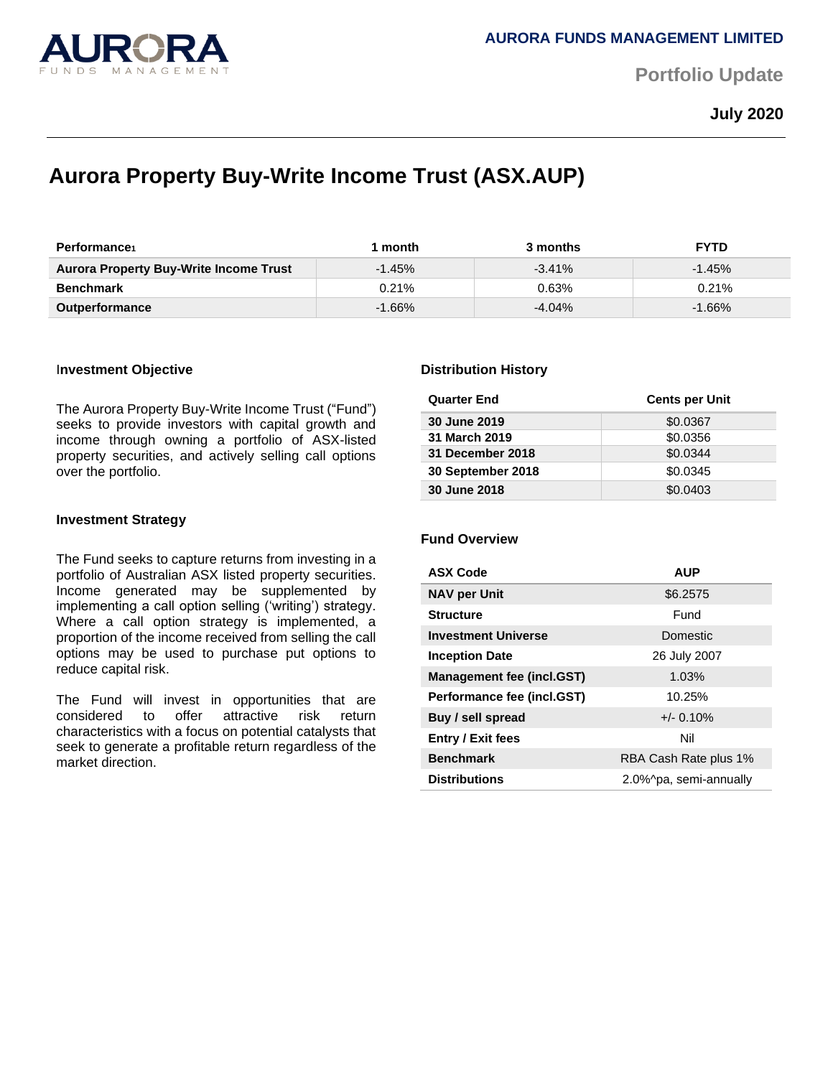

**Portfolio Update** 

**July 2020**

# **Aurora Property Buy-Write Income Trust (ASX.AUP)**

| <b>Performance</b>                            | month     | 3 months  | <b>FYTD</b> |
|-----------------------------------------------|-----------|-----------|-------------|
| <b>Aurora Property Buy-Write Income Trust</b> | $-1.45%$  | $-3.41\%$ | $-1.45%$    |
| <b>Benchmark</b>                              | 0.21%     | 0.63%     | $0.21\%$    |
| <b>Outperformance</b>                         | $-1.66\%$ | $-4.04%$  | $-1.66%$    |

### I**nvestment Objective**

The Aurora Property Buy-Write Income Trust ("Fund") seeks to provide investors with capital growth and income through owning a portfolio of ASX-listed property securities, and actively selling call options over the portfolio.

### **Investment Strategy**

The Fund seeks to capture returns from investing in a portfolio of Australian ASX listed property securities. Income generated may be supplemented by implementing a call option selling ('writing') strategy. Where a call option strategy is implemented, a proportion of the income received from selling the call options may be used to purchase put options to reduce capital risk.

The Fund will invest in opportunities that are considered to offer attractive risk return characteristics with a focus on potential catalysts that seek to generate a profitable return regardless of the market direction.

### **Distribution History**

| <b>Quarter End</b> | <b>Cents per Unit</b> |
|--------------------|-----------------------|
| 30 June 2019       | \$0.0367              |
| 31 March 2019      | \$0.0356              |
| 31 December 2018   | \$0.0344              |
| 30 September 2018  | \$0.0345              |
| 30 June 2018       | \$0.0403              |

# **Fund Overview**

| <b>ASX Code</b>                  | <b>AUP</b>             |  |
|----------------------------------|------------------------|--|
| <b>NAV per Unit</b>              | \$6.2575               |  |
| <b>Structure</b>                 | Fund                   |  |
| <b>Investment Universe</b>       | Domestic               |  |
| <b>Inception Date</b>            | 26 July 2007           |  |
| <b>Management fee (incl.GST)</b> | 1.03%                  |  |
| Performance fee (incl.GST)       | 10.25%                 |  |
| Buy / sell spread                | $+/- 0.10%$            |  |
| <b>Entry / Exit fees</b>         | Nil                    |  |
| <b>Benchmark</b>                 | RBA Cash Rate plus 1%  |  |
| <b>Distributions</b>             | 2.0%^pa, semi-annually |  |